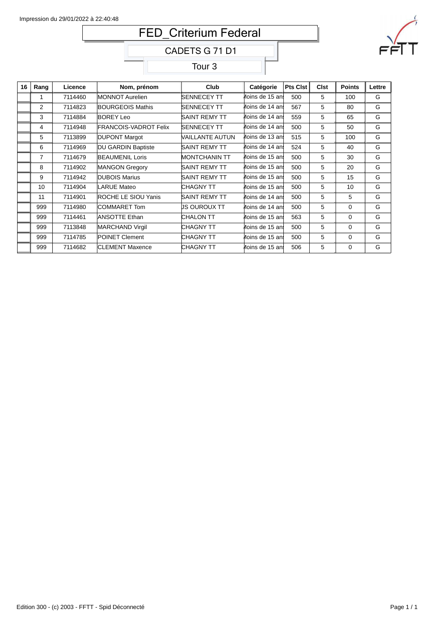# FED\_Criterium Federal

CADETS G 71 D1

Tour 3



| 16 | Rang | Licence | Nom, prénom                  | Club               | Catégorie       | <b>Pts Clst</b> | <b>Clst</b> | <b>Points</b> | Lettre |  |
|----|------|---------|------------------------------|--------------------|-----------------|-----------------|-------------|---------------|--------|--|
|    | 1    | 7114460 | MONNOT Aurelien              | <b>SENNECEY TT</b> | Moins de 15 ani | 500             | 5           | 100           | G      |  |
|    | 2    | 7114823 | <b>BOURGEOIS Mathis</b>      | SENNECEY TT        | Moins de 14 ani | 567             | 5           | 80            | G      |  |
|    | 3    | 7114884 | <b>BOREY Leo</b>             | SAINT REMY TT      | Moins de 14 ani | 559             | 5           | 65            | G      |  |
|    | 4    | 7114948 | <b>FRANCOIS-VADROT Felix</b> | <b>SENNECEY TT</b> | Moins de 14 ani | 500             | 5           | 50            | G      |  |
|    | 5    | 7113899 | <b>DUPONT Margot</b>         | VAILLANTE AUTUN    | Moins de 13 ani | 515             | 5           | 100           | G      |  |
|    | 6    | 7114969 | <b>DU GARDIN Baptiste</b>    | SAINT REMY TT      | Moins de 14 ani | 524             | 5           | 40            | G      |  |
|    | 7    | 7114679 | <b>BEAUMENIL Loris</b>       | MONTCHANIN TT      | Moins de 15 ani | 500             | 5           | 30            | G      |  |
|    | 8    | 7114902 | MANGON Gregory               | SAINT REMY TT      | Moins de 15 ani | 500             | 5           | 20            | G      |  |
|    | 9    | 7114942 | <b>DUBOIS Marius</b>         | SAINT REMY TT      | Moins de 15 ani | 500             | 5           | 15            | G      |  |
|    | 10   | 7114904 | LARUE Mateo                  | CHAGNY TT          | Moins de 15 ani | 500             | 5           | 10            | G      |  |
|    | 11   | 7114901 | <b>ROCHE LE SIOU Yanis</b>   | SAINT REMY TT      | Moins de 14 ani | 500             | 5           | 5             | G      |  |
|    | 999  | 7114980 | COMMARET Tom                 | US OUROUX TT       | Moins de 14 ani | 500             | 5           | $\Omega$      | G      |  |
|    | 999  | 7114461 | <b>ANSOTTE Ethan</b>         | CHALON TT          | Moins de 15 an! | 563             | 5           | $\Omega$      | G      |  |
|    | 999  | 7113848 | <b>MARCHAND Virgil</b>       | CHAGNY TT          | Moins de 15 ani | 500             | 5           | $\Omega$      | G      |  |
|    | 999  | 7114785 | <b>POINET Clement</b>        | CHAGNY TT          | Moins de 15 ani | 500             | 5           | $\Omega$      | G      |  |
|    | 999  | 7114682 | <b>CLEMENT Maxence</b>       | CHAGNY TT          | Moins de 15 ani | 506             | 5           | $\Omega$      | G      |  |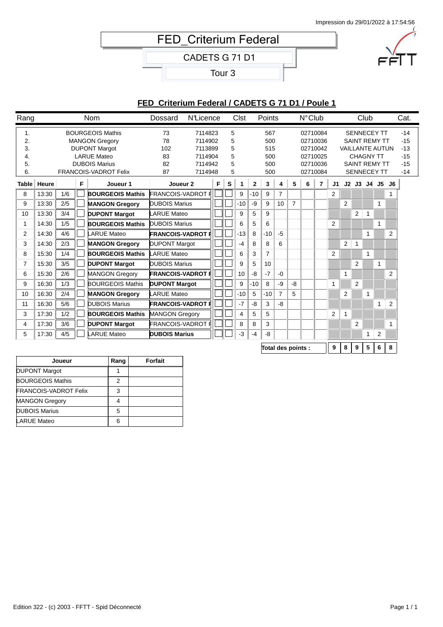## **FED** Criterium Federal

CADETS G 71 D1

Tour 3



## **FED\_Criterium Federal / CADETS G 71 D1 / Poule 1**

| Rang                             |       |     |   | Nom                                                                                                                                                    | Dossard                           | <b>N</b> Licence                                               |   |                            | <b>Clst</b> |              | Points                                 |                |                    | $N^{\circ}$ Club |                                                          |                |                |                                                                                                                                        | Club |              |                | Cat.                                               |
|----------------------------------|-------|-----|---|--------------------------------------------------------------------------------------------------------------------------------------------------------|-----------------------------------|----------------------------------------------------------------|---|----------------------------|-------------|--------------|----------------------------------------|----------------|--------------------|------------------|----------------------------------------------------------|----------------|----------------|----------------------------------------------------------------------------------------------------------------------------------------|------|--------------|----------------|----------------------------------------------------|
| 1.<br>2.<br>3.<br>4.<br>5.<br>6. |       |     |   | <b>BOURGEOIS Mathis</b><br><b>MANGON Gregory</b><br><b>DUPONT Margot</b><br><b>LARUE Mateo</b><br><b>DUBOIS Marius</b><br><b>FRANCOIS-VADROT Felix</b> | 73<br>78<br>102<br>83<br>82<br>87 | 7114823<br>7114902<br>7113899<br>7114904<br>7114942<br>7114948 |   | 5<br>5<br>5<br>5<br>5<br>5 |             |              | 567<br>500<br>515<br>500<br>500<br>500 |                |                    |                  | 02710084<br>02710036<br>02710042<br>02710025<br>02710036 |                |                | <b>SENNECEY TT</b><br><b>SAINT REMY TT</b><br><b>VAILLANTE AUTUN</b><br><b>CHAGNY TT</b><br><b>SAINT REMY TT</b><br><b>SENNECEY TT</b> |      |              |                | $-14$<br>$-15$<br>$-13$<br>$-15$<br>$-15$<br>$-14$ |
| <b>Table</b>                     | Heure |     | F | Joueur 1                                                                                                                                               | Joueur <sub>2</sub>               |                                                                | F | s                          | 1           | $\mathbf{2}$ | 3<br>5<br>4                            |                | 02710084<br>6<br>7 |                  | J1                                                       |                |                | $J2$ $J3$ $J4$ $J5$                                                                                                                    |      | J6           |                |                                                    |
| 8                                | 13:30 | 1/6 |   | <b>BOURGEOIS Mathis</b>                                                                                                                                | <b>FRANCOIS-VADROT F</b>          |                                                                |   |                            | 9           | $-10$        | 9                                      | $\overline{7}$ |                    |                  |                                                          | $\overline{2}$ |                |                                                                                                                                        |      |              |                |                                                    |
| 9                                | 13:30 | 2/5 |   | <b>MANGON Gregory</b>                                                                                                                                  | <b>DUBOIS Marius</b>              |                                                                |   |                            | $-10$       | -9           | 9                                      | 10             | $\overline{7}$     |                  |                                                          |                | $\overline{2}$ |                                                                                                                                        |      | 1            |                |                                                    |
| 10                               | 13:30 | 3/4 |   | <b>DUPONT Margot</b>                                                                                                                                   | <b>LARUE Mateo</b>                |                                                                |   |                            | 9           | 5            | 9                                      |                |                    |                  |                                                          |                |                | 2                                                                                                                                      | 1    |              |                |                                                    |
| 1                                | 14:30 | 1/5 |   | <b>BOURGEOIS Mathis</b>                                                                                                                                | <b>DUBOIS Marius</b>              |                                                                |   |                            | 6           | 5            | 6                                      |                |                    |                  |                                                          | $\overline{2}$ |                |                                                                                                                                        |      | 1            |                |                                                    |
| 2                                | 14:30 | 4/6 |   | <b>ARUE Mateo</b>                                                                                                                                      | <b>FRANCOIS-VADROT F</b>          |                                                                |   |                            | $-13$       | 8            | $-10$                                  | $-5$           |                    |                  |                                                          |                |                |                                                                                                                                        | 1    |              | $\overline{2}$ |                                                    |
| 3                                | 14:30 | 2/3 |   | <b>MANGON Gregory</b>                                                                                                                                  | <b>DUPONT Margot</b>              |                                                                |   |                            | $-4$        | 8            | 8                                      | 6              |                    |                  |                                                          |                | 2              | 1                                                                                                                                      |      |              |                |                                                    |
| 8                                | 15:30 | 1/4 |   | <b>BOURGEOIS Mathis</b>                                                                                                                                | <b>LARUE Mateo</b>                |                                                                |   |                            | 6           | 3            | 7                                      |                |                    |                  |                                                          | 2              |                |                                                                                                                                        | 1    |              |                |                                                    |
| $\overline{7}$                   | 15:30 | 3/5 |   | <b>DUPONT Margot</b>                                                                                                                                   | <b>DUBOIS Marius</b>              |                                                                |   |                            | 9           | 5            | 10                                     |                |                    |                  |                                                          |                |                | $\overline{2}$                                                                                                                         |      | $\mathbf{1}$ |                |                                                    |
| 6                                | 15:30 | 2/6 |   | <b>MANGON Gregory</b>                                                                                                                                  | <b>FRANCOIS-VADROT F</b>          |                                                                |   |                            | 10          | -8           | $-7$                                   | $-0$           |                    |                  |                                                          |                | 1              |                                                                                                                                        |      |              | 2              |                                                    |
| 9                                | 16:30 | 1/3 |   | <b>BOURGEOIS Mathis</b>                                                                                                                                | <b>DUPONT Margot</b>              |                                                                |   |                            | 9           | $-10$        | 8                                      | -9             | -8                 |                  |                                                          | $\mathbf{1}$   |                | $\overline{2}$                                                                                                                         |      |              |                |                                                    |
| 10                               | 16:30 | 2/4 |   | <b>MANGON Gregory</b>                                                                                                                                  | <b>LARUE Mateo</b>                |                                                                |   |                            | $-10$       | 5            | $-10$                                  | $\overline{7}$ | 5                  |                  |                                                          |                | $\overline{2}$ |                                                                                                                                        |      |              |                |                                                    |
| 11                               | 16:30 | 5/6 |   | <b>DUBOIS Marius</b>                                                                                                                                   | <b>FRANCOIS-VADROT I</b>          |                                                                |   |                            | $-7$        | -8           | 3                                      | -8             |                    |                  |                                                          |                |                |                                                                                                                                        |      | 1            | $\overline{2}$ |                                                    |
| 3                                | 17:30 | 1/2 |   | <b>BOURGEOIS Mathis</b>                                                                                                                                | <b>MANGON Gregory</b>             |                                                                |   |                            | 4           | 5            | 5                                      |                |                    |                  |                                                          | $\overline{2}$ | 1              |                                                                                                                                        |      |              |                |                                                    |
| 4                                | 17:30 | 3/6 |   | <b>DUPONT Margot</b>                                                                                                                                   | <b>FRANCOIS-VADROT I</b>          |                                                                |   |                            | 8           | 8            | 3                                      |                |                    |                  |                                                          |                |                | 2                                                                                                                                      |      |              |                |                                                    |
| 5                                | 17:30 | 4/5 |   | <b>ARUE Mateo</b>                                                                                                                                      | <b>DUBOIS Marius</b>              |                                                                |   |                            | $-3$        | $-4$         | -8                                     |                |                    |                  |                                                          |                |                |                                                                                                                                        | 1    | 2            |                |                                                    |
|                                  |       |     |   |                                                                                                                                                        |                                   |                                                                |   |                            |             |              |                                        |                |                    |                  |                                                          |                |                |                                                                                                                                        |      |              |                |                                                    |

**Total des points : 9 8 9 5 6 8**

| 2 |  |
|---|--|
| 3 |  |
|   |  |
| 5 |  |
| հ |  |
|   |  |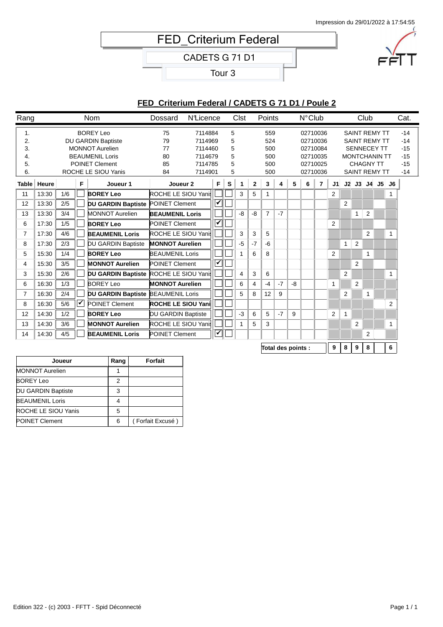# FED\_Criterium Federal

CADETS G 71 D1

Tour 3

### **FED\_Criterium Federal / CADETS G 71 D1 / Poule 2**

| Rang                             |       |     |     | <b>Nom</b>                                                                                                                                        | Dossard                          | <b>N</b> Licence                                               |                      |                            | Clst |              | Points                                 |      |    | $N^{\circ}$ Club |                                                                      |                |                |                                                                                                                                        | Club           |    | Cat.                                               |
|----------------------------------|-------|-----|-----|---------------------------------------------------------------------------------------------------------------------------------------------------|----------------------------------|----------------------------------------------------------------|----------------------|----------------------------|------|--------------|----------------------------------------|------|----|------------------|----------------------------------------------------------------------|----------------|----------------|----------------------------------------------------------------------------------------------------------------------------------------|----------------|----|----------------------------------------------------|
| 1.<br>2.<br>3.<br>4.<br>5.<br>6. |       |     |     | <b>BOREY Leo</b><br><b>DU GARDIN Baptiste</b><br><b>MONNOT Aurelien</b><br><b>BEAUMENIL Loris</b><br><b>POINET Clement</b><br>ROCHE LE SIOU Yanis | 75<br>79<br>77<br>80<br>85<br>84 | 7114884<br>7114969<br>7114460<br>7114679<br>7114785<br>7114901 |                      | 5<br>5<br>5<br>5<br>5<br>5 |      |              | 559<br>524<br>500<br>500<br>500<br>500 |      |    |                  | 02710036<br>02710036<br>02710084<br>02710035<br>02710025<br>02710036 |                |                | <b>SAINT REMY TT</b><br><b>SAINT REMY TT</b><br><b>SENNECEY TT</b><br><b>MONTCHANIN TT</b><br><b>CHAGNY TT</b><br><b>SAINT REMY TT</b> |                |    | $-14$<br>$-14$<br>$-15$<br>$-15$<br>$-15$<br>$-14$ |
| <b>Table</b>                     | Heure |     | F   | Joueur 1                                                                                                                                          | Joueur <sub>2</sub>              |                                                                | F                    | s                          | 1    | $\mathbf{2}$ | 3                                      | 4    | 5  | 6                | 7                                                                    | J1             |                | $J2$ $J3$ $J4$ $J5$                                                                                                                    |                | J6 |                                                    |
| 11                               | 13:30 | 1/6 |     | <b>BOREY Leo</b>                                                                                                                                  | ROCHE LE SIOU Yanis              |                                                                |                      |                            | 3    | 5            | $\mathbf{1}$                           |      |    |                  |                                                                      | $\overline{2}$ |                |                                                                                                                                        |                |    |                                                    |
| 12                               | 13:30 | 2/5 |     | <b>DU GARDIN Baptiste POINET Clement</b>                                                                                                          |                                  |                                                                | ✓                    |                            |      |              |                                        |      |    |                  |                                                                      |                | $\overline{2}$ |                                                                                                                                        |                |    |                                                    |
| 13                               | 13:30 | 3/4 |     | <b>MONNOT Aurelien</b>                                                                                                                            | <b>BEAUMENIL Loris</b>           |                                                                |                      |                            | -8   | -8           | $\overline{7}$                         | $-7$ |    |                  |                                                                      |                |                | 1                                                                                                                                      | 2              |    |                                                    |
| 6                                | 17:30 | 1/5 |     | <b>BOREY Leo</b>                                                                                                                                  | <b>POINET Clement</b>            |                                                                | $\blacktriangledown$ |                            |      |              |                                        |      |    |                  |                                                                      | $\overline{2}$ |                |                                                                                                                                        |                |    |                                                    |
| $\overline{7}$                   | 17:30 | 4/6 |     | <b>BEAUMENIL Loris</b>                                                                                                                            | <b>ROCHE LE SIOU Yanis</b>       |                                                                |                      |                            | 3    | 3            | 5                                      |      |    |                  |                                                                      |                |                |                                                                                                                                        | $\overline{2}$ | 1  |                                                    |
| 8                                | 17:30 | 2/3 |     | DU GARDIN Baptiste                                                                                                                                | <b>MONNOT Aurelien</b>           |                                                                |                      |                            | $-5$ | $-7$         | -6                                     |      |    |                  |                                                                      |                | $\mathbf{1}$   | 2                                                                                                                                      |                |    |                                                    |
| 5                                | 15:30 | 1/4 |     | <b>BOREY Leo</b>                                                                                                                                  | <b>BEAUMENIL Loris</b>           |                                                                |                      |                            |      | 6            | 8                                      |      |    |                  |                                                                      | $\overline{2}$ |                |                                                                                                                                        | $\mathbf{1}$   |    |                                                    |
| 4                                | 15:30 | 3/5 |     | <b>MONNOT Aurelien</b>                                                                                                                            | <b>POINET Clement</b>            |                                                                | ✓                    |                            |      |              |                                        |      |    |                  |                                                                      |                |                | $\overline{2}$                                                                                                                         |                |    |                                                    |
| 3                                | 15:30 | 2/6 |     | DU GARDIN Baptiste ROCHE LE SIOU Yanis                                                                                                            |                                  |                                                                |                      |                            | 4    | 3            | 6                                      |      |    |                  |                                                                      |                | $\overline{2}$ |                                                                                                                                        |                |    |                                                    |
| 6                                | 16:30 | 1/3 |     | <b>BOREY Leo</b>                                                                                                                                  | <b>MONNOT Aurelien</b>           |                                                                |                      |                            | 6    | 4            | $-4$                                   | $-7$ | -8 |                  |                                                                      | 1              |                | $\overline{2}$                                                                                                                         |                |    |                                                    |
| $\overline{7}$                   | 16:30 | 2/4 |     | <b>DU GARDIN Baptiste BEAUMENIL Loris</b>                                                                                                         |                                  |                                                                |                      |                            | 5    | 8            | 12                                     | 9    |    |                  |                                                                      |                | $\overline{2}$ |                                                                                                                                        | 1              |    |                                                    |
| 8                                | 16:30 | 5/6 | ∣✔∣ | <b>POINET Clement</b>                                                                                                                             | <b>ROCHE LE SIOU Yani</b>        |                                                                |                      |                            |      |              |                                        |      |    |                  |                                                                      |                |                |                                                                                                                                        |                | 2  |                                                    |
| 12                               | 14:30 | 1/2 |     | <b>BOREY Leo</b>                                                                                                                                  | <b>DU GARDIN Baptiste</b>        |                                                                |                      |                            | $-3$ | 6            | 5                                      | $-7$ | 9  |                  |                                                                      | $\overline{2}$ | 1              |                                                                                                                                        |                |    |                                                    |
| 13                               | 14:30 | 3/6 |     | <b>MONNOT Aurelien</b>                                                                                                                            | ROCHE LE SIOU Yani               |                                                                |                      |                            |      | 5            | 3                                      |      |    |                  |                                                                      |                |                | 2                                                                                                                                      |                |    |                                                    |
| 14                               | 14:30 | 4/5 |     | <b>BEAUMENIL Loris</b>                                                                                                                            | <b>POINET Clement</b>            |                                                                | ✔                    |                            |      |              |                                        |      |    |                  |                                                                      |                |                |                                                                                                                                        | 2              |    |                                                    |
|                                  |       |     |     |                                                                                                                                                   |                                  |                                                                |                      |                            |      |              |                                        |      |    |                  |                                                                      |                |                |                                                                                                                                        |                |    |                                                    |

**Total des points : 9 8 9 8 0 6**

| Joueur                 | Rang | Forfait          |
|------------------------|------|------------------|
| <b>MONNOT Aurelien</b> |      |                  |
| <b>BOREY Leo</b>       | 2    |                  |
| DU GARDIN Baptiste     | 3    |                  |
| <b>BEAUMENIL Loris</b> |      |                  |
| ROCHE LE SIOU Yanis    | 5    |                  |
| <b>POINET Clement</b>  | 6    | (Forfait Excusé) |